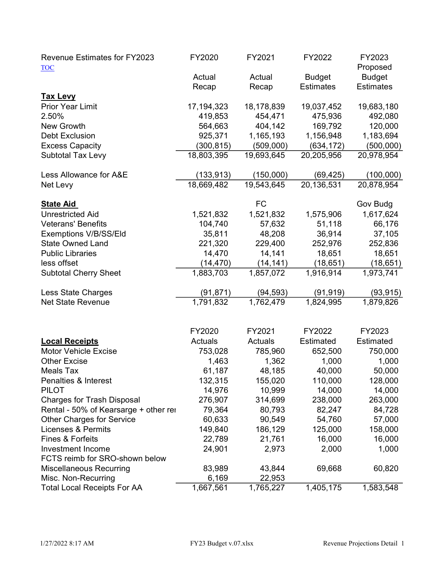| <b>Revenue Estimates for FY2023</b>        | FY2020                   | FY2021                | FY2022                   | FY2023                  |
|--------------------------------------------|--------------------------|-----------------------|--------------------------|-------------------------|
| <b>TOC</b>                                 |                          |                       |                          | Proposed                |
|                                            | Actual                   | Actual                | <b>Budget</b>            | <b>Budget</b>           |
|                                            | Recap                    | Recap                 | <b>Estimates</b>         | <b>Estimates</b>        |
| <b>Tax Levy</b><br><b>Prior Year Limit</b> |                          |                       |                          |                         |
| 2.50%                                      | 17,194,323               | 18,178,839<br>454,471 | 19,037,452               | 19,683,180              |
|                                            | 419,853                  |                       | 475,936                  | 492,080                 |
| New Growth<br><b>Debt Exclusion</b>        | 564,663<br>925,371       | 404,142<br>1,165,193  | 169,792<br>1,156,948     | 120,000<br>1,183,694    |
|                                            |                          | (509,000)             |                          |                         |
| <b>Excess Capacity</b>                     | (300, 815)<br>18,803,395 | 19,693,645            | (634, 172)<br>20,205,956 | (500,000)<br>20,978,954 |
| <b>Subtotal Tax Levy</b>                   |                          |                       |                          |                         |
| Less Allowance for A&E                     | (133, 913)               | (150,000)             | (69, 425)                | (100,000)               |
| Net Levy                                   | 18,669,482               | 19,543,645            | 20,136,531               | 20,878,954              |
|                                            |                          |                       |                          |                         |
| <b>State Aid</b>                           |                          | <b>FC</b>             |                          | Gov Budg                |
| <b>Unrestricted Aid</b>                    | 1,521,832                | 1,521,832             | 1,575,906                | 1,617,624               |
| <b>Veterans' Benefits</b>                  | 104,740                  | 57,632                | 51,118                   | 66,176                  |
| Exemptions V/B/SS/Eld                      | 35,811                   | 48,208                | 36,914                   | 37,105                  |
| <b>State Owned Land</b>                    | 221,320                  | 229,400               | 252,976                  | 252,836                 |
| <b>Public Libraries</b>                    | 14,470                   | 14,141                | 18,651                   | 18,651                  |
| less offset                                | (14, 470)                | (14, 141)             | (18, 651)                | (18, 651)               |
| <b>Subtotal Cherry Sheet</b>               | 1,883,703                | 1,857,072             | 1,916,914                | 1,973,741               |
| Less State Charges                         | (91, 871)                | (94, 593)             | (91, 919)                | (93, 915)               |
| <b>Net State Revenue</b>                   | 1,791,832                | 1,762,479             | 1,824,995                | 1,879,826               |
|                                            |                          |                       |                          |                         |
|                                            |                          |                       |                          |                         |
|                                            | FY2020                   | FY2021                | FY2022                   | FY2023                  |
| <b>Local Receipts</b>                      | Actuals                  | Actuals               | Estimated                | Estimated               |
| <b>Motor Vehicle Excise</b>                | 753,028                  | 785,960               | 652,500                  | 750,000                 |
| <b>Other Excise</b>                        | 1,463                    | 1,362                 | 1,000                    | 1,000                   |
| <b>Meals Tax</b>                           | 61,187                   | 48,185                | 40,000                   | 50,000                  |
| Penalties & Interest                       | 132,315                  | 155,020               | 110,000                  | 128,000                 |
| <b>PILOT</b>                               | 14,976                   | 10,999                | 14,000                   | 14,000                  |
| <b>Charges for Trash Disposal</b>          | 276,907                  | 314,699               | 238,000                  | 263,000                 |
| Rental - 50% of Kearsarge + other rei      | 79,364                   | 80,793                | 82,247                   | 84,728                  |
| <b>Other Charges for Service</b>           | 60,633                   | 90,549                | 54,760                   | 57,000                  |
| <b>Licenses &amp; Permits</b>              | 149,840                  | 186,129               | 125,000                  | 158,000                 |
| Fines & Forfeits                           | 22,789                   | 21,761                | 16,000                   | 16,000                  |
| Investment Income                          | 24,901                   | 2,973                 | 2,000                    | 1,000                   |
| FCTS reimb for SRO-shown below             |                          |                       |                          |                         |
| <b>Miscellaneous Recurring</b>             | 83,989                   | 43,844                | 69,668                   | 60,820                  |
| Misc. Non-Recurring                        | 6,169                    | 22,953                |                          |                         |
| <b>Total Local Receipts For AA</b>         | 1,667,561                | 1,765,227             | 1,405,175                | 1,583,548               |